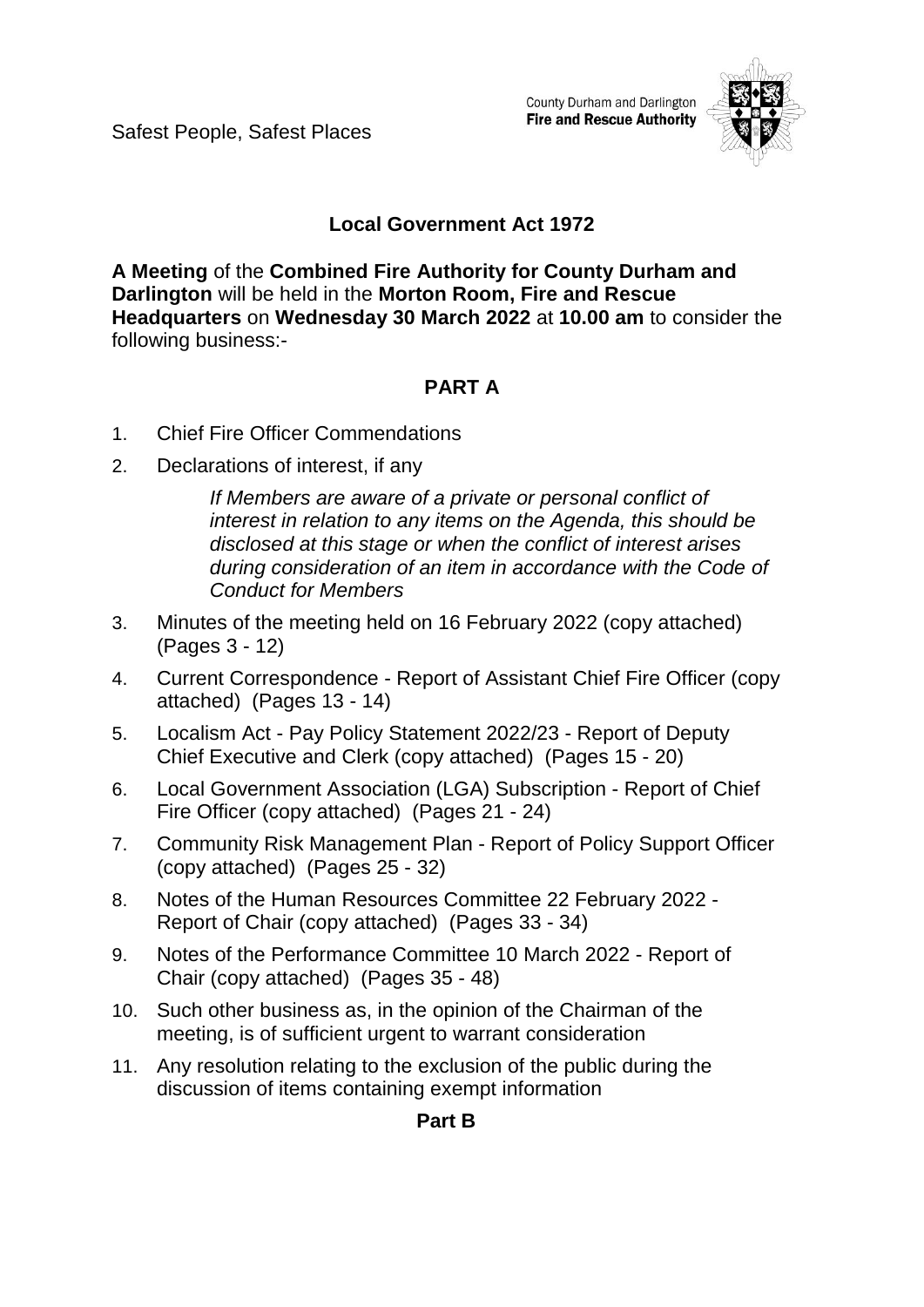Safest People, Safest Places

County Durham and Darlington **Fire and Rescue Authority** 



## **Local Government Act 1972**

**A Meeting** of the **Combined Fire Authority for County Durham and Darlington** will be held in the **Morton Room, Fire and Rescue Headquarters** on **Wednesday 30 March 2022** at **10.00 am** to consider the following business:-

# **PART A**

- 1. Chief Fire Officer Commendations
- 2. Declarations of interest, if any

*If Members are aware of a private or personal conflict of interest in relation to any items on the Agenda, this should be disclosed at this stage or when the conflict of interest arises during consideration of an item in accordance with the Code of Conduct for Members*

- 3. Minutes of the meeting held on 16 February 2022 (copy attached) (Pages 3 - 12)
- 4. Current Correspondence Report of Assistant Chief Fire Officer (copy attached)(Pages 13 - 14)
- 5. Localism Act Pay Policy Statement 2022/23 Report of Deputy Chief Executive and Clerk (copy attached)(Pages 15 - 20)
- 6. Local Government Association (LGA) Subscription Report of Chief Fire Officer (copy attached)(Pages 21 - 24)
- 7. Community Risk Management Plan Report of Policy Support Officer (copy attached)(Pages 25 - 32)
- 8. Notes of the Human Resources Committee 22 February 2022 Report of Chair (copy attached)(Pages 33 - 34)
- 9. Notes of the Performance Committee 10 March 2022 Report of Chair (copy attached)(Pages 35 - 48)
- 10. Such other business as, in the opinion of the Chairman of the meeting, is of sufficient urgent to warrant consideration
- 11. Any resolution relating to the exclusion of the public during the discussion of items containing exempt information